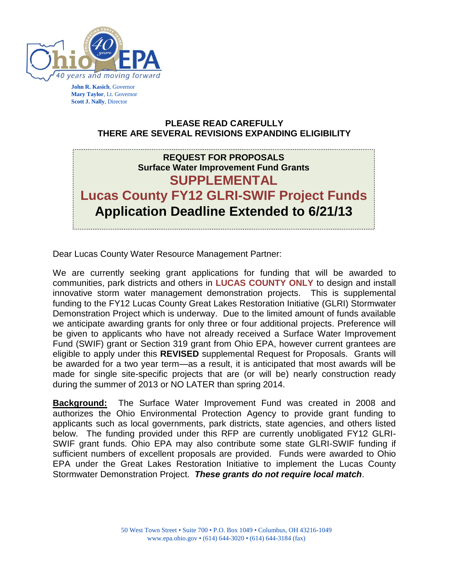

**John R. Kasich**, Governor **Mary Taylor**, Lt. Governor **Scott J. Nally**, Director

### **PLEASE READ CAREFULLY THERE ARE SEVERAL REVISIONS EXPANDING ELIGIBILITY**

# **REQUEST FOR PROPOSALS Surface Water Improvement Fund Grants SUPPLEMENTAL Lucas County FY12 GLRI-SWIF Project Funds Application Deadline Extended to 6/21/13**

Dear Lucas County Water Resource Management Partner:

We are currently seeking grant applications for funding that will be awarded to communities, park districts and others in **LUCAS COUNTY ONLY** to design and install innovative storm water management demonstration projects. This is supplemental funding to the FY12 Lucas County Great Lakes Restoration Initiative (GLRI) Stormwater Demonstration Project which is underway. Due to the limited amount of funds available we anticipate awarding grants for only three or four additional projects. Preference will be given to applicants who have not already received a Surface Water Improvement Fund (SWIF) grant or Section 319 grant from Ohio EPA, however current grantees are eligible to apply under this **REVISED** supplemental Request for Proposals. Grants will be awarded for a two year term—as a result, it is anticipated that most awards will be made for single site-specific projects that are (or will be) nearly construction ready during the summer of 2013 or NO LATER than spring 2014.

**Background:** The Surface Water Improvement Fund was created in 2008 and authorizes the Ohio Environmental Protection Agency to provide grant funding to applicants such as local governments, park districts, state agencies, and others listed below. The funding provided under this RFP are currently unobligated FY12 GLRI-SWIF grant funds. Ohio EPA may also contribute some state GLRI-SWIF funding if sufficient numbers of excellent proposals are provided. Funds were awarded to Ohio EPA under the Great Lakes Restoration Initiative to implement the Lucas County Stormwater Demonstration Project. *These grants do not require local match*.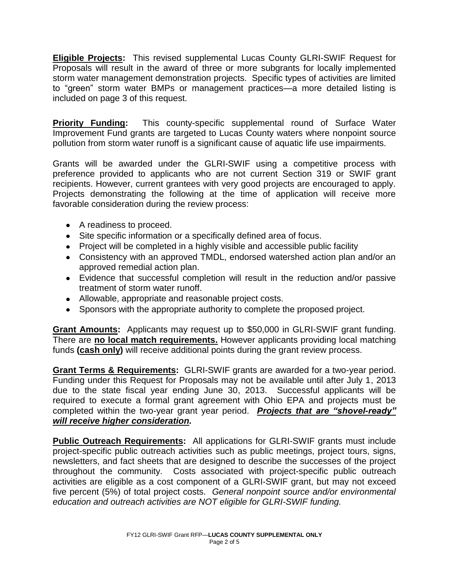**Eligible Projects:** This revised supplemental Lucas County GLRI-SWIF Request for Proposals will result in the award of three or more subgrants for locally implemented storm water management demonstration projects. Specific types of activities are limited to "green" storm water BMPs or management practices—a more detailed listing is included on page 3 of this request.

**Priority Funding:** This county-specific supplemental round of Surface Water Improvement Fund grants are targeted to Lucas County waters where nonpoint source pollution from storm water runoff is a significant cause of aquatic life use impairments.

Grants will be awarded under the GLRI-SWIF using a competitive process with preference provided to applicants who are not current Section 319 or SWIF grant recipients. However, current grantees with very good projects are encouraged to apply. Projects demonstrating the following at the time of application will receive more favorable consideration during the review process:

- A readiness to proceed.
- Site specific information or a specifically defined area of focus.
- Project will be completed in a highly visible and accessible public facility
- Consistency with an approved TMDL, endorsed watershed action plan and/or an approved remedial action plan.
- Evidence that successful completion will result in the reduction and/or passive treatment of storm water runoff.
- Allowable, appropriate and reasonable project costs.
- Sponsors with the appropriate authority to complete the proposed project.

**Grant Amounts:** Applicants may request up to \$50,000 in GLRI-SWIF grant funding. There are **no local match requirements.** However applicants providing local matching funds **(cash only)** will receive additional points during the grant review process.

**Grant Terms & Requirements:** GLRI-SWIF grants are awarded for a two-year period. Funding under this Request for Proposals may not be available until after July 1, 2013 due to the state fiscal year ending June 30, 2013. Successful applicants will be required to execute a formal grant agreement with Ohio EPA and projects must be completed within the two-year grant year period. *Projects that are "shovel-ready" will receive higher consideration.*

**Public Outreach Requirements:** All applications for GLRI-SWIF grants must include project-specific public outreach activities such as public meetings, project tours, signs, newsletters, and fact sheets that are designed to describe the successes of the project throughout the community. Costs associated with project-specific public outreach activities are eligible as a cost component of a GLRI-SWIF grant, but may not exceed five percent (5%) of total project costs. *General nonpoint source and/or environmental education and outreach activities are NOT eligible for GLRI-SWIF funding.*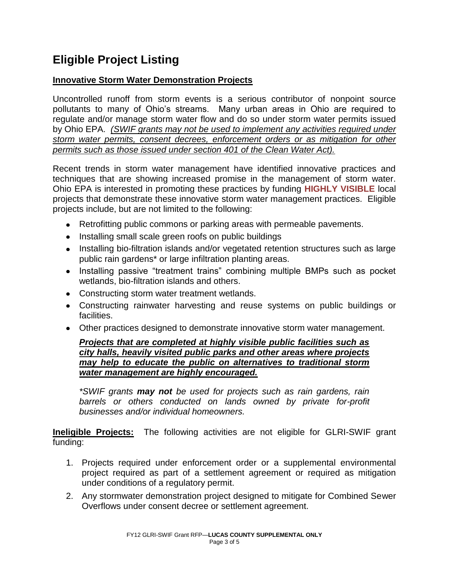# **Eligible Project Listing**

### **Innovative Storm Water Demonstration Projects**

Uncontrolled runoff from storm events is a serious contributor of nonpoint source pollutants to many of Ohio's streams. Many urban areas in Ohio are required to regulate and/or manage storm water flow and do so under storm water permits issued by Ohio EPA. *(SWIF grants may not be used to implement any activities required under storm water permits, consent decrees, enforcement orders or as mitigation for other permits such as those issued under section 401 of the Clean Water Act).*

Recent trends in storm water management have identified innovative practices and techniques that are showing increased promise in the management of storm water. Ohio EPA is interested in promoting these practices by funding **HIGHLY VISIBLE** local projects that demonstrate these innovative storm water management practices. Eligible projects include, but are not limited to the following:

- Retrofitting public commons or parking areas with permeable pavements.
- Installing small scale green roofs on public buildings
- Installing bio-filtration islands and/or vegetated retention structures such as large public rain gardens\* or large infiltration planting areas.
- Installing passive "treatment trains" combining multiple BMPs such as pocket wetlands, bio-filtration islands and others.
- Constructing storm water treatment wetlands.
- Constructing rainwater harvesting and reuse systems on public buildings or facilities.
- Other practices designed to demonstrate innovative storm water management.

#### *Projects that are completed at highly visible public facilities such as city halls, heavily visited public parks and other areas where projects may help to educate the public on alternatives to traditional storm water management are highly encouraged.*

*\*SWIF grants may not be used for projects such as rain gardens, rain barrels or others conducted on lands owned by private for-profit businesses and/or individual homeowners.*

**Ineligible Projects:** The following activities are not eligible for GLRI-SWIF grant funding:

- 1. Projects required under enforcement order or a supplemental environmental project required as part of a settlement agreement or required as mitigation under conditions of a regulatory permit.
- 2. Any stormwater demonstration project designed to mitigate for Combined Sewer Overflows under consent decree or settlement agreement.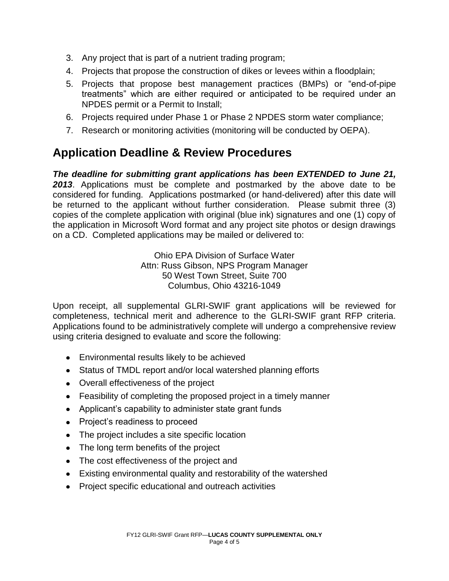- 3. Any project that is part of a nutrient trading program;
- 4. Projects that propose the construction of dikes or levees within a floodplain;
- 5. Projects that propose best management practices (BMPs) or "end-of-pipe treatments" which are either required or anticipated to be required under an NPDES permit or a Permit to Install;
- 6. Projects required under Phase 1 or Phase 2 NPDES storm water compliance;
- 7. Research or monitoring activities (monitoring will be conducted by OEPA).

### **Application Deadline & Review Procedures**

*The deadline for submitting grant applications has been EXTENDED to June 21, 2013*. Applications must be complete and postmarked by the above date to be considered for funding. Applications postmarked (or hand-delivered) after this date will be returned to the applicant without further consideration. Please submit three (3) copies of the complete application with original (blue ink) signatures and one (1) copy of the application in Microsoft Word format and any project site photos or design drawings on a CD. Completed applications may be mailed or delivered to:

> Ohio EPA Division of Surface Water Attn: Russ Gibson, NPS Program Manager 50 West Town Street, Suite 700 Columbus, Ohio 43216-1049

Upon receipt, all supplemental GLRI-SWIF grant applications will be reviewed for completeness, technical merit and adherence to the GLRI-SWIF grant RFP criteria. Applications found to be administratively complete will undergo a comprehensive review using criteria designed to evaluate and score the following:

- Environmental results likely to be achieved
- Status of TMDL report and/or local watershed planning efforts
- Overall effectiveness of the project
- Feasibility of completing the proposed project in a timely manner
- Applicant's capability to administer state grant funds
- Project's readiness to proceed
- The project includes a site specific location
- The long term benefits of the project
- The cost effectiveness of the project and
- Existing environmental quality and restorability of the watershed
- Project specific educational and outreach activities